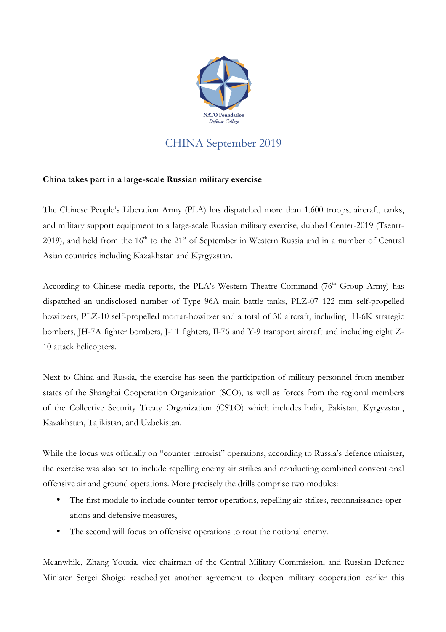

## CHINA September 2019

## **China takes part in a large-scale Russian military exercise**

The Chinese People's Liberation Army (PLA) has dispatched more than 1.600 troops, aircraft, tanks, and military support equipment to a large-scale Russian military exercise, dubbed Center-2019 (Tsentr-2019), and held from the  $16<sup>th</sup>$  to the  $21<sup>st</sup>$  of September in Western Russia and in a number of Central Asian countries including Kazakhstan and Kyrgyzstan.

According to Chinese media reports, the PLA's Western Theatre Command (76<sup>th</sup> Group Army) has dispatched an undisclosed number of Type 96A main battle tanks, PLZ-07 122 mm self-propelled howitzers, PLZ-10 self-propelled mortar-howitzer and a total of 30 aircraft, including H-6K strategic bombers, JH-7A fighter bombers, J-11 fighters, Il-76 and Y-9 transport aircraft and including eight Z-10 attack helicopters.

Next to China and Russia, the exercise has seen the participation of military personnel from member states of the Shanghai Cooperation Organization (SCO), as well as forces from the regional members of the Collective Security Treaty Organization (CSTO) which includes India, Pakistan, Kyrgyzstan, Kazakhstan, Tajikistan, and Uzbekistan.

While the focus was officially on "counter terrorist" operations, according to Russia's defence minister, the exercise was also set to include repelling enemy air strikes and conducting combined conventional offensive air and ground operations. More precisely the drills comprise two modules:

- The first module to include counter-terror operations, repelling air strikes, reconnaissance operations and defensive measures,
- The second will focus on offensive operations to rout the notional enemy.

Meanwhile, Zhang Youxia, vice chairman of the Central Military Commission, and Russian Defence Minister Sergei Shoigu reached yet another agreement to deepen military cooperation earlier this